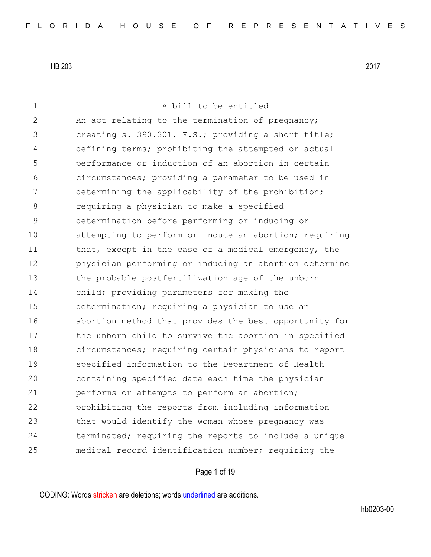1 A bill to be entitled 2 An act relating to the termination of pregnancy; 3 3 creating s. 390.301, F.S.; providing a short title; 4 defining terms; prohibiting the attempted or actual 5 performance or induction of an abortion in certain 6 circumstances; providing a parameter to be used in 7 determining the applicability of the prohibition; 8 8 8 requiring a physician to make a specified 9 determination before performing or inducing or 10 attempting to perform or induce an abortion; requiring 11 that, except in the case of a medical emergency, the 12 physician performing or inducing an abortion determine 13 the probable postfertilization age of the unborn 14 child; providing parameters for making the 15 determination; requiring a physician to use an 16 abortion method that provides the best opportunity for 17 the unborn child to survive the abortion in specified 18 circumstances; requiring certain physicians to report 19 specified information to the Department of Health 20 containing specified data each time the physician 21 performs or attempts to perform an abortion; 22 prohibiting the reports from including information 23 that would identify the woman whose pregnancy was 24 terminated; requiring the reports to include a unique 25 medical record identification number; requiring the

Page 1 of 19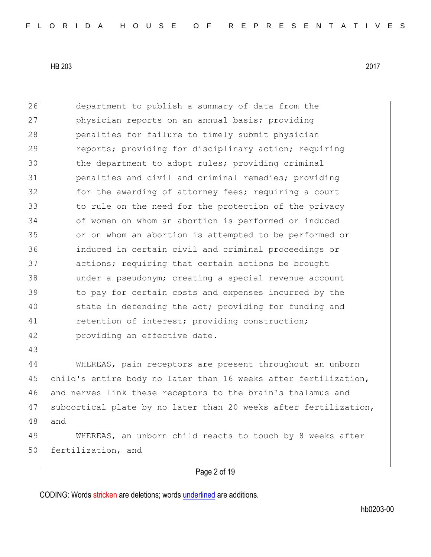| 26 | department to publish a summary of data from the                 |
|----|------------------------------------------------------------------|
| 27 | physician reports on an annual basis; providing                  |
| 28 | penalties for failure to timely submit physician                 |
| 29 | reports; providing for disciplinary action; requiring            |
| 30 | the department to adopt rules; providing criminal                |
| 31 | penalties and civil and criminal remedies; providing             |
| 32 | for the awarding of attorney fees; requiring a court             |
| 33 | to rule on the need for the protection of the privacy            |
| 34 | of women on whom an abortion is performed or induced             |
| 35 | or on whom an abortion is attempted to be performed or           |
| 36 | induced in certain civil and criminal proceedings or             |
| 37 | actions; requiring that certain actions be brought               |
| 38 | under a pseudonym; creating a special revenue account            |
| 39 | to pay for certain costs and expenses incurred by the            |
| 40 | state in defending the act; providing for funding and            |
| 41 | retention of interest; providing construction;                   |
| 42 | providing an effective date.                                     |
| 43 |                                                                  |
| 44 | WHEREAS, pain receptors are present throughout an unborn         |
| 45 | child's entire body no later than 16 weeks after fertilization,  |
| 46 | and nerves link these receptors to the brain's thalamus and      |
| 47 | subcortical plate by no later than 20 weeks after fertilization, |
| 48 | and                                                              |
| 49 | WHEREAS, an unborn child reacts to touch by 8 weeks after        |
| 50 | fertilization, and                                               |

Page 2 of 19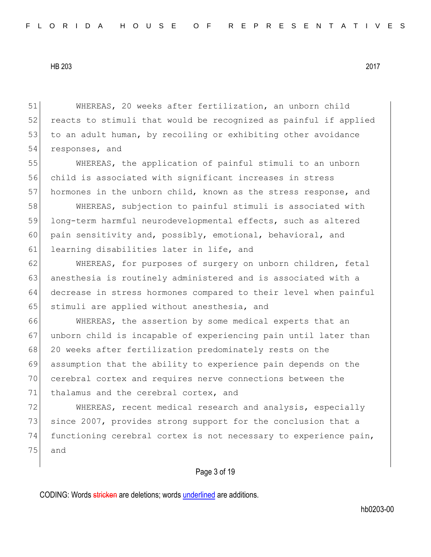51 WHEREAS, 20 weeks after fertilization, an unborn child 52 reacts to stimuli that would be recognized as painful if applied 53 to an adult human, by recoiling or exhibiting other avoidance 54 responses, and

55 WHEREAS, the application of painful stimuli to an unborn 56 child is associated with significant increases in stress 57 hormones in the unborn child, known as the stress response, and

58 WHEREAS, subjection to painful stimuli is associated with 59 long-term harmful neurodevelopmental effects, such as altered 60 pain sensitivity and, possibly, emotional, behavioral, and 61 learning disabilities later in life, and

62 WHEREAS, for purposes of surgery on unborn children, fetal 63 anesthesia is routinely administered and is associated with a 64 decrease in stress hormones compared to their level when painful 65 stimuli are applied without anesthesia, and

66 WHEREAS, the assertion by some medical experts that an 67 unborn child is incapable of experiencing pain until later than 68 20 weeks after fertilization predominately rests on the 69 assumption that the ability to experience pain depends on the 70 cerebral cortex and requires nerve connections between the 71 thalamus and the cerebral cortex, and

72 WHEREAS, recent medical research and analysis, especially 73 since 2007, provides strong support for the conclusion that a 74 functioning cerebral cortex is not necessary to experience pain, 75 and

## Page 3 of 19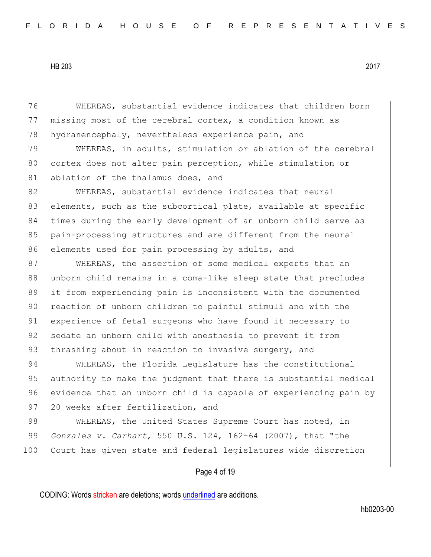76 WHEREAS, substantial evidence indicates that children born 77 missing most of the cerebral cortex, a condition known as 78 hydranencephaly, nevertheless experience pain, and

79 WHEREAS, in adults, stimulation or ablation of the cerebral 80 cortex does not alter pain perception, while stimulation or 81 ablation of the thalamus does, and

82 WHEREAS, substantial evidence indicates that neural 83 elements, such as the subcortical plate, available at specific 84 times during the early development of an unborn child serve as 85 pain-processing structures and are different from the neural 86 elements used for pain processing by adults, and

87 WHEREAS, the assertion of some medical experts that an 88 unborn child remains in a coma-like sleep state that precludes 89 it from experiencing pain is inconsistent with the documented 90 reaction of unborn children to painful stimuli and with the 91 experience of fetal surgeons who have found it necessary to 92 sedate an unborn child with anesthesia to prevent it from 93 thrashing about in reaction to invasive surgery, and

94 WHEREAS, the Florida Legislature has the constitutional 95 authority to make the judgment that there is substantial medical 96 evidence that an unborn child is capable of experiencing pain by 97 20 weeks after fertilization, and

98 WHEREAS, the United States Supreme Court has noted, in 99 *Gonzales v. Carhart*, 550 U.S. 124, 162-64 (2007), that "the 100 Court has given state and federal legislatures wide discretion

Page 4 of 19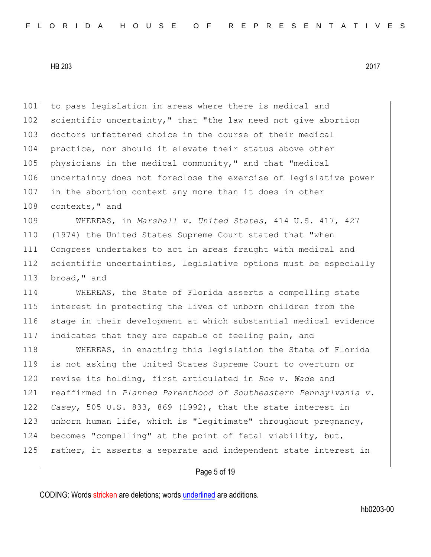101 to pass legislation in areas where there is medical and 102 scientific uncertainty," that "the law need not give abortion 103 doctors unfettered choice in the course of their medical 104 practice, nor should it elevate their status above other 105 physicians in the medical community," and that "medical 106 uncertainty does not foreclose the exercise of legislative power 107 in the abortion context any more than it does in other 108 contexts, " and

109 WHEREAS, in *Marshall v. United States*, 414 U.S. 417, 427 110 (1974) the United States Supreme Court stated that "when 111 Congress undertakes to act in areas fraught with medical and 112 scientific uncertainties, legislative options must be especially 113 broad, " and

 WHEREAS, the State of Florida asserts a compelling state interest in protecting the lives of unborn children from the stage in their development at which substantial medical evidence indicates that they are capable of feeling pain, and

118 WHEREAS, in enacting this legislation the State of Florida is not asking the United States Supreme Court to overturn or revise its holding, first articulated in *Roe v. Wade* and reaffirmed in *Planned Parenthood of Southeastern Pennsylvania v. Casey*, 505 U.S. 833, 869 (1992), that the state interest in 123 unborn human life, which is "legitimate" throughout pregnancy, becomes "compelling" at the point of fetal viability, but, 125 rather, it asserts a separate and independent state interest in

Page 5 of 19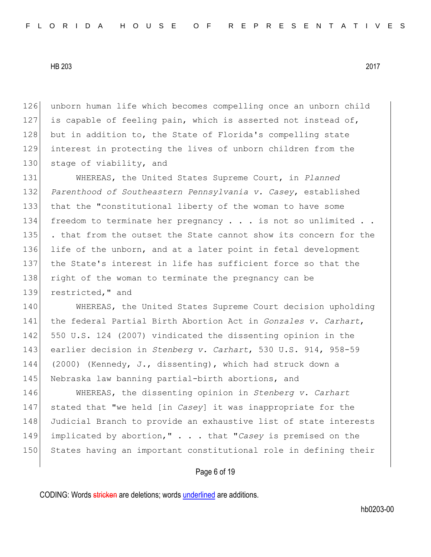126 unborn human life which becomes compelling once an unborn child 127 is capable of feeling pain, which is asserted not instead of, 128 but in addition to, the State of Florida's compelling state 129 interest in protecting the lives of unborn children from the 130 stage of viability, and

131 WHEREAS, the United States Supreme Court, in *Planned*  132 *Parenthood of Southeastern Pennsylvania v. Casey*, established 133 that the "constitutional liberty of the woman to have some 134 freedom to terminate her pregnancy  $\ldots$  is not so unlimited  $\ldots$ 135 | . that from the outset the State cannot show its concern for the 136 life of the unborn, and at a later point in fetal development 137 the State's interest in life has sufficient force so that the 138 right of the woman to terminate the pregnancy can be 139 restricted," and

140 WHEREAS, the United States Supreme Court decision upholding the federal Partial Birth Abortion Act in *Gonzales v. Carhart*, 550 U.S. 124 (2007) vindicated the dissenting opinion in the earlier decision in *Stenberg v. Carhart*, 530 U.S. 914, 958-59 (2000) (Kennedy, J., dissenting), which had struck down a 145 Nebraska law banning partial-birth abortions, and

146 WHEREAS, the dissenting opinion in *Stenberg v. Carhart* 147 stated that "we held [in *Casey*] it was inappropriate for the 148 Judicial Branch to provide an exhaustive list of state interests 149 implicated by abortion," . . . that "*Casey* is premised on the 150 States having an important constitutional role in defining their

## Page 6 of 19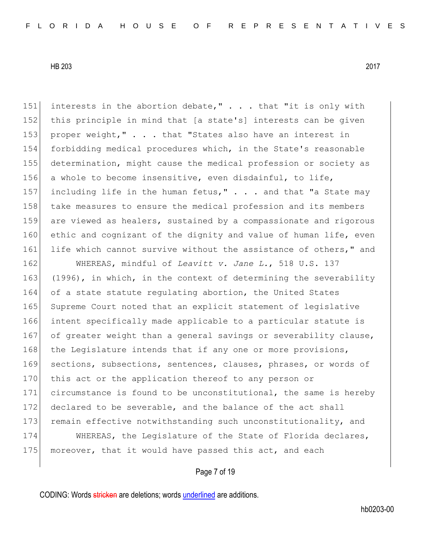151 interests in the abortion debate," . . . that "it is only with 152 this principle in mind that [a state's] interests can be given 153 proper weight," . . . that "States also have an interest in 154 forbidding medical procedures which, in the State's reasonable 155 determination, might cause the medical profession or society as 156 a whole to become insensitive, even disdainful, to life, 157 including life in the human fetus,"  $\ldots$  and that "a State may 158 take measures to ensure the medical profession and its members 159 are viewed as healers, sustained by a compassionate and rigorous 160 ethic and cognizant of the dignity and value of human life, even 161 life which cannot survive without the assistance of others," and

162 WHEREAS, mindful of *Leavitt v. Jane L.*, 518 U.S. 137 163 (1996), in which, in the context of determining the severability 164 of a state statute regulating abortion, the United States 165 Supreme Court noted that an explicit statement of legislative 166 intent specifically made applicable to a particular statute is 167 of greater weight than a general savings or severability clause, 168 the Legislature intends that if any one or more provisions, 169 sections, subsections, sentences, clauses, phrases, or words of 170 this act or the application thereof to any person or 171 circumstance is found to be unconstitutional, the same is hereby 172 declared to be severable, and the balance of the act shall 173 remain effective notwithstanding such unconstitutionality, and

174 WHEREAS, the Legislature of the State of Florida declares, 175 moreover, that it would have passed this act, and each

Page 7 of 19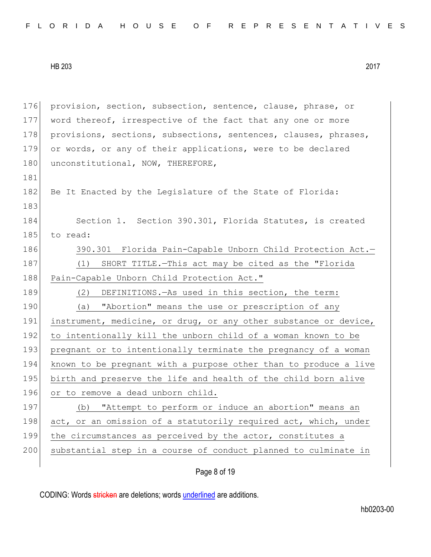176 provision, section, subsection, sentence, clause, phrase, or 177 word thereof, irrespective of the fact that any one or more 178 provisions, sections, subsections, sentences, clauses, phrases, 179 or words, or any of their applications, were to be declared 180 unconstitutional, NOW, THEREFORE, 181 182 Be It Enacted by the Legislature of the State of Florida: 183 184 Section 1. Section 390.301, Florida Statutes, is created 185 to read: 186 390.301 Florida Pain-Capable Unborn Child Protection Act.-187 (1) SHORT TITLE.—This act may be cited as the "Florida 188 Pain-Capable Unborn Child Protection Act." 189 (2) DEFINITIONS.—As used in this section, the term: 190 (a) "Abortion" means the use or prescription of any 191 instrument, medicine, or drug, or any other substance or device, 192 to intentionally kill the unborn child of a woman known to be 193 pregnant or to intentionally terminate the pregnancy of a woman 194 known to be pregnant with a purpose other than to produce a live 195 birth and preserve the life and health of the child born alive 196 or to remove a dead unborn child. 197 (b) "Attempt to perform or induce an abortion" means an 198 act, or an omission of a statutorily required act, which, under 199 the circumstances as perceived by the actor, constitutes a 200 substantial step in a course of conduct planned to culminate in

Page 8 of 19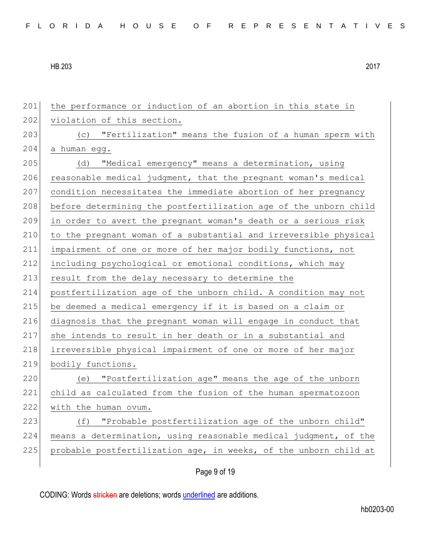| 201 | the performance or induction of an abortion in this state in     |
|-----|------------------------------------------------------------------|
| 202 | violation of this section.                                       |
| 203 | (c) "Fertilization" means the fusion of a human sperm with       |
| 204 | a human egg.                                                     |
| 205 | "Medical emergency" means a determination, using<br>(d)          |
| 206 | reasonable medical judgment, that the pregnant woman's medical   |
| 207 | condition necessitates the immediate abortion of her pregnancy   |
| 208 | before determining the postfertilization age of the unborn child |
| 209 | in order to avert the pregnant woman's death or a serious risk   |
| 210 | to the pregnant woman of a substantial and irreversible physical |
| 211 | impairment of one or more of her major bodily functions, not     |
| 212 | including psychological or emotional conditions, which may       |
| 213 | result from the delay necessary to determine the                 |
| 214 | postfertilization age of the unborn child. A condition may not   |
| 215 | be deemed a medical emergency if it is based on a claim or       |
| 216 | diagnosis that the pregnant woman will engage in conduct that    |
| 217 | she intends to result in her death or in a substantial and       |
| 218 | irreversible physical impairment of one or more of her major     |
| 219 | bodily functions.                                                |
| 220 | (e) "Postfertilization age" means the age of the unborn          |
| 221 | child as calculated from the fusion of the human spermatozoon    |
| 222 | with the human ovum.                                             |
| 223 | (f) "Probable postfertilization age of the unborn child"         |
| 224 | means a determination, using reasonable medical judgment, of the |
| 225 | probable postfertilization age, in weeks, of the unborn child at |
|     |                                                                  |

Page 9 of 19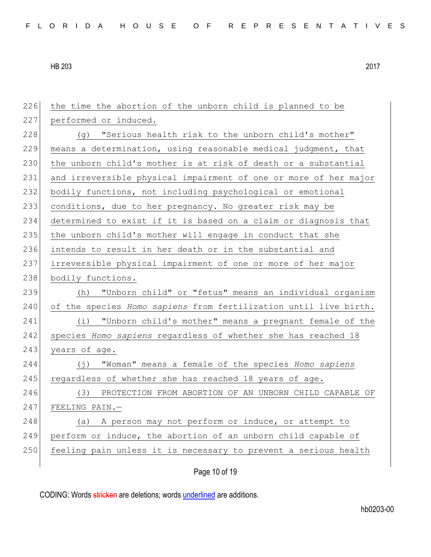226 the time the abortion of the unborn child is planned to be 227 performed or induced. 228 (g) "Serious health risk to the unborn child's mother" 229 means a determination, using reasonable medical judgment, that 230 the unborn child's mother is at risk of death or a substantial 231 and irreversible physical impairment of one or more of her major 232 bodily functions, not including psychological or emotional 233 conditions, due to her pregnancy. No greater risk may be 234 determined to exist if it is based on a claim or diagnosis that 235 the unborn child's mother will engage in conduct that she 236 intends to result in her death or in the substantial and 237 irreversible physical impairment of one or more of her major 238 bodily functions. 239 (h) "Unborn child" or "fetus" means an individual organism 240 of the species *Homo sapiens* from fertilization until live birth. 241 (i) "Unborn child's mother" means a pregnant female of the 242 species *Homo sapiens* regardless of whether she has reached 18 243 years of age. 244 (j) "Woman" means a female of the species *Homo sapiens* 245 regardless of whether she has reached 18 years of age. 246 (3) PROTECTION FROM ABORTION OF AN UNBORN CHILD CAPABLE OF 247 FEELING PAIN.— 248 (a) A person may not perform or induce, or attempt to 249 perform or induce, the abortion of an unborn child capable of 250 feeling pain unless it is necessary to prevent a serious health

Page 10 of 19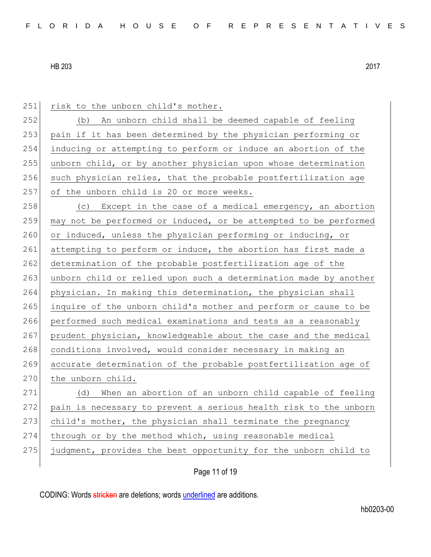251 risk to the unborn child's mother.

 (b) An unborn child shall be deemed capable of feeling pain if it has been determined by the physician performing or inducing or attempting to perform or induce an abortion of the unborn child, or by another physician upon whose determination 256 such physician relies, that the probable postfertilization age 257 of the unborn child is 20 or more weeks.

258 (c) Except in the case of a medical emergency, an abortion  $259$  may not be performed or induced, or be attempted to be performed 260 or induced, unless the physician performing or inducing, or 261 attempting to perform or induce, the abortion has first made a 262 determination of the probable postfertilization age of the 263 unborn child or relied upon such a determination made by another 264 physician. In making this determination, the physician shall 265 inquire of the unborn child's mother and perform or cause to be 266 performed such medical examinations and tests as a reasonably 267 prudent physician, knowledgeable about the case and the medical 268 conditions involved, would consider necessary in making an 269 accurate determination of the probable postfertilization age of 270 the unborn child.

 (d) When an abortion of an unborn child capable of feeling 272 pain is necessary to prevent a serious health risk to the unborn child's mother, the physician shall terminate the pregnancy through or by the method which, using reasonable medical

275 judgment, provides the best opportunity for the unborn child to

Page 11 of 19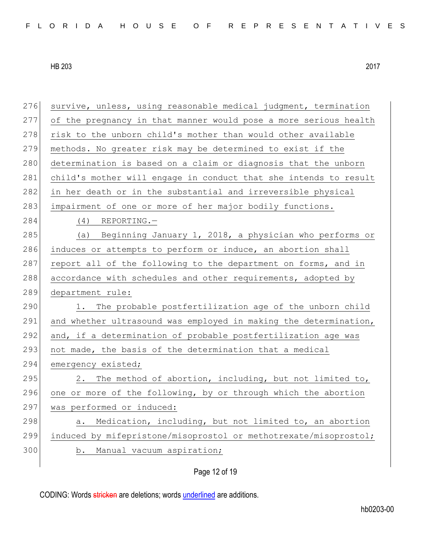| 276 | survive, unless, using reasonable medical judgment, termination  |
|-----|------------------------------------------------------------------|
| 277 | of the pregnancy in that manner would pose a more serious health |
| 278 | risk to the unborn child's mother than would other available     |
| 279 | methods. No greater risk may be determined to exist if the       |
| 280 | determination is based on a claim or diagnosis that the unborn   |
| 281 | child's mother will engage in conduct that she intends to result |
| 282 | in her death or in the substantial and irreversible physical     |
| 283 | impairment of one or more of her major bodily functions.         |
| 284 | $(4)$ REPORTING. -                                               |
| 285 | (a) Beginning January 1, 2018, a physician who performs or       |
| 286 | induces or attempts to perform or induce, an abortion shall      |
| 287 | report all of the following to the department on forms, and in   |
| 288 | accordance with schedules and other requirements, adopted by     |
|     |                                                                  |
| 289 | department rule:                                                 |
| 290 | The probable postfertilization age of the unborn child<br>1.     |
| 291 | and whether ultrasound was employed in making the determination, |
| 292 | and, if a determination of probable postfertilization age was    |
| 293 | not made, the basis of the determination that a medical          |
| 294 | emergency existed;                                               |
| 295 | The method of abortion, including, but not limited to,<br>2.     |
| 296 | one or more of the following, by or through which the abortion   |
| 297 | was performed or induced:                                        |
| 298 | Medication, including, but not limited to, an abortion<br>а.     |
| 299 | induced by mifepristone/misoprostol or methotrexate/misoprostol; |
| 300 | b. Manual vacuum aspiration;                                     |

# Page 12 of 19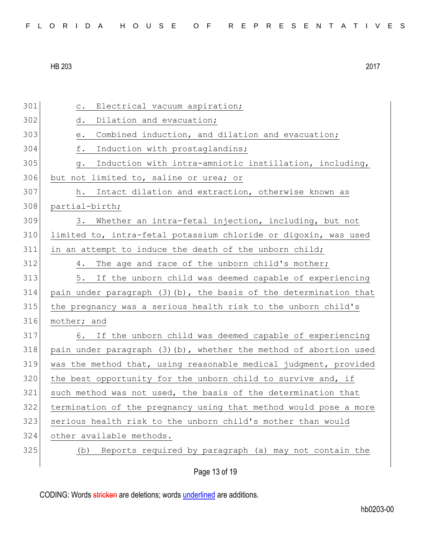| FLORIDA HOUSE OF REPRESENTATIVES |  |  |  |  |  |  |  |  |  |  |  |  |  |  |  |  |  |  |  |  |  |  |  |  |  |  |  |
|----------------------------------|--|--|--|--|--|--|--|--|--|--|--|--|--|--|--|--|--|--|--|--|--|--|--|--|--|--|--|
|----------------------------------|--|--|--|--|--|--|--|--|--|--|--|--|--|--|--|--|--|--|--|--|--|--|--|--|--|--|--|

301 c. Electrical vacuum aspiration; 302 d. Dilation and evacuation; 303 e. Combined induction, and dilation and evacuation; 304 f. Induction with prostaglandins; 305 g. Induction with intra-amniotic instillation, including, 306 but not limited to, saline or urea; or 307 h. Intact dilation and extraction, otherwise known as 308 partial-birth; 309 3. Whether an intra-fetal injection, including, but not 310 limited to, intra-fetal potassium chloride or digoxin, was used 311 in an attempt to induce the death of the unborn child; 312 4. The age and race of the unborn child's mother; 313 5. If the unborn child was deemed capable of experiencing 314 pain under paragraph  $(3)$  (b), the basis of the determination that 315 the pregnancy was a serious health risk to the unborn child's 316 mother; and 317 6. If the unborn child was deemed capable of experiencing 318 pain under paragraph  $(3)(b)$ , whether the method of abortion used 319 was the method that, using reasonable medical judgment, provided  $320$  the best opportunity for the unborn child to survive and, if 321 such method was not used, the basis of the determination that 322 termination of the pregnancy using that method would pose a more 323 serious health risk to the unborn child's mother than would 324 other available methods. 325 (b) Reports required by paragraph (a) may not contain the

Page 13 of 19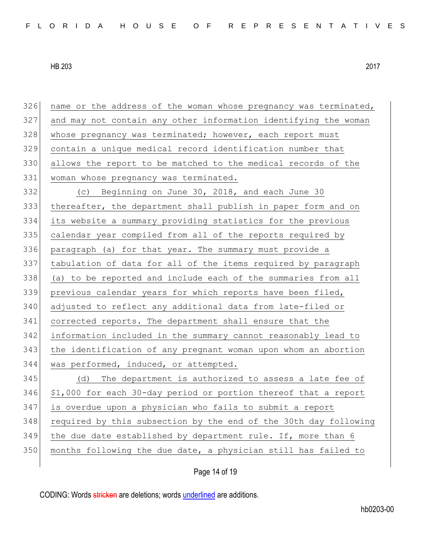| 326 | name or the address of the woman whose pregnancy was terminated, |
|-----|------------------------------------------------------------------|
| 327 | and may not contain any other information identifying the woman  |
| 328 | whose pregnancy was terminated; however, each report must        |
| 329 | contain a unique medical record identification number that       |
| 330 | allows the report to be matched to the medical records of the    |
| 331 | woman whose pregnancy was terminated.                            |
| 332 | (c) Beginning on June 30, 2018, and each June 30                 |
| 333 | thereafter, the department shall publish in paper form and on    |
| 334 | its website a summary providing statistics for the previous      |
| 335 | calendar year compiled from all of the reports required by       |
| 336 | paragraph (a) for that year. The summary must provide a          |
| 337 | tabulation of data for all of the items required by paragraph    |
| 338 | (a) to be reported and include each of the summaries from all    |
| 339 | previous calendar years for which reports have been filed,       |
| 340 | adjusted to reflect any additional data from late-filed or       |
| 341 | corrected reports. The department shall ensure that the          |
| 342 | information included in the summary cannot reasonably lead to    |
| 343 | the identification of any pregnant woman upon whom an abortion   |
| 344 | was performed, induced, or attempted.                            |
| 345 | The department is authorized to assess a late fee of<br>(d)      |
| 346 | \$1,000 for each 30-day period or portion thereof that a report  |
| 347 | is overdue upon a physician who fails to submit a report         |
| 348 | required by this subsection by the end of the 30th day following |
| 349 | the due date established by department rule. If, more than 6     |
| 350 | months following the due date, a physician still has failed to   |
|     |                                                                  |

# Page 14 of 19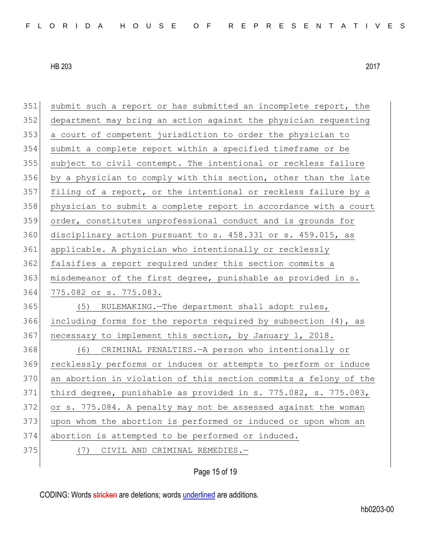| 351 | submit such a report or has submitted an incomplete report, the  |
|-----|------------------------------------------------------------------|
| 352 | department may bring an action against the physician requesting  |
| 353 | a court of competent jurisdiction to order the physician to      |
| 354 | submit a complete report within a specified timeframe or be      |
| 355 | subject to civil contempt. The intentional or reckless failure   |
| 356 | by a physician to comply with this section, other than the late  |
| 357 | filing of a report, or the intentional or reckless failure by a  |
| 358 | physician to submit a complete report in accordance with a court |
| 359 | order, constitutes unprofessional conduct and is grounds for     |
| 360 | disciplinary action pursuant to s. 458.331 or s. 459.015, as     |
| 361 | applicable. A physician who intentionally or recklessly          |
| 362 | falsifies a report required under this section commits a         |
| 363 | misdemeanor of the first degree, punishable as provided in s.    |
|     |                                                                  |
| 364 | 775.082 or s. 775.083.                                           |
| 365 | (5) RULEMAKING. - The department shall adopt rules,              |
| 366 | including forms for the reports required by subsection (4), as   |
| 367 | necessary to implement this section, by January 1, 2018.         |
| 368 | (6) CRIMINAL PENALTIES. - A person who intentionally or          |
| 369 | recklessly performs or induces or attempts to perform or induce  |
| 370 | an abortion in violation of this section commits a felony of the |
| 371 | third degree, punishable as provided in s. 775.082, s. 775.083,  |
| 372 | or s. 775.084. A penalty may not be assessed against the woman   |
| 373 | upon whom the abortion is performed or induced or upon whom an   |
| 374 | abortion is attempted to be performed or induced.                |
| 375 | CIVIL AND CRIMINAL REMEDIES.-<br>(7)                             |

Page 15 of 19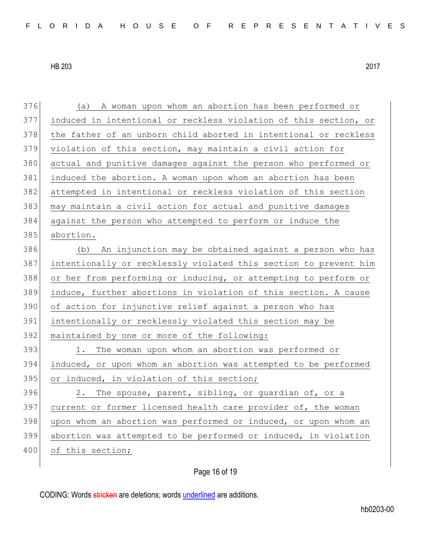(a) A woman upon whom an abortion has been performed or induced in intentional or reckless violation of this section, or 378 the father of an unborn child aborted in intentional or reckless violation of this section, may maintain a civil action for actual and punitive damages against the person who performed or induced the abortion. A woman upon whom an abortion has been attempted in intentional or reckless violation of this section may maintain a civil action for actual and punitive damages against the person who attempted to perform or induce the abortion. (b) An injunction may be obtained against a person who has intentionally or recklessly violated this section to prevent him 388 or her from performing or inducing, or attempting to perform or induce, further abortions in violation of this section. A cause 390 of action for injunctive relief against a person who has intentionally or recklessly violated this section may be 392 maintained by one or more of the following: 393 1. The woman upon whom an abortion was performed or induced, or upon whom an abortion was attempted to be performed 395 or induced, in violation of this section; 2. The spouse, parent, sibling, or quardian of, or a current or former licensed health care provider of, the woman 398 upon whom an abortion was performed or induced, or upon whom an abortion was attempted to be performed or induced, in violation 400 of this section;

# Page 16 of 19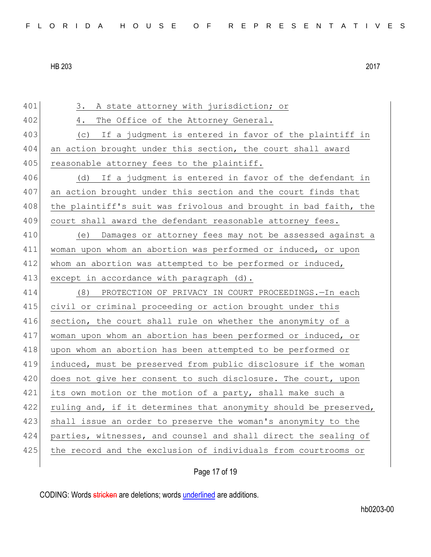401 3. A state attorney with jurisdiction; or 402 4. The Office of the Attorney General. 403 (c) If a judgment is entered in favor of the plaintiff in 404 an action brought under this section, the court shall award 405 reasonable attorney fees to the plaintiff. 406 (d) If a judgment is entered in favor of the defendant in 407 an action brought under this section and the court finds that 408 the plaintiff's suit was frivolous and brought in bad faith, the 409 court shall award the defendant reasonable attorney fees. 410 (e) Damages or attorney fees may not be assessed against a 411 woman upon whom an abortion was performed or induced, or upon 412 whom an abortion was attempted to be performed or induced, 413 except in accordance with paragraph (d). 414 (8) PROTECTION OF PRIVACY IN COURT PROCEEDINGS.—In each 415 civil or criminal proceeding or action brought under this 416 section, the court shall rule on whether the anonymity of a 417 woman upon whom an abortion has been performed or induced, or 418 upon whom an abortion has been attempted to be performed or 419 induced, must be preserved from public disclosure if the woman 420 does not give her consent to such disclosure. The court, upon 421 its own motion or the motion of a party, shall make such a 422 ruling and, if it determines that anonymity should be preserved, 423 shall issue an order to preserve the woman's anonymity to the 424 parties, witnesses, and counsel and shall direct the sealing of 425 the record and the exclusion of individuals from courtrooms or

Page 17 of 19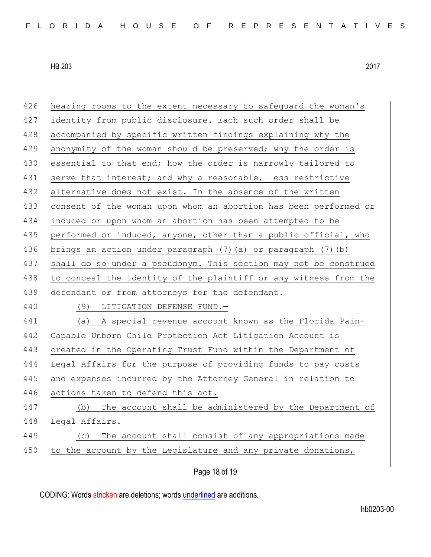| 426 | hearing rooms to the extent necessary to safeguard the woman's   |
|-----|------------------------------------------------------------------|
| 427 | identity from public disclosure. Each such order shall be        |
| 428 | accompanied by specific written findings explaining why the      |
| 429 | anonymity of the woman should be preserved; why the order is     |
| 430 | essential to that end; how the order is narrowly tailored to     |
| 431 | serve that interest; and why a reasonable, less restrictive      |
| 432 | alternative does not exist. In the absence of the written        |
| 433 | consent of the woman upon whom an abortion has been performed or |
| 434 | induced or upon whom an abortion has been attempted to be        |
| 435 | performed or induced, anyone, other than a public official, who  |
| 436 | brings an action under paragraph (7) (a) or paragraph (7) (b)    |
| 437 | shall do so under a pseudonym. This section may not be construed |
| 438 | to conceal the identity of the plaintiff or any witness from the |
|     |                                                                  |
| 439 | defendant or from attorneys for the defendant.                   |
| 440 | LITIGATION DEFENSE FUND.-<br>(9)                                 |
| 441 | (a) A special revenue account known as the Florida Pain-         |
| 442 | Capable Unborn Child Protection Act Litigation Account is        |
| 443 | created in the Operating Trust Fund within the Department of     |
| 444 | Legal Affairs for the purpose of providing funds to pay costs    |
| 445 | and expenses incurred by the Attorney General in relation to     |
| 446 | actions taken to defend this act.                                |
| 447 | The account shall be administered by the Department of<br>(b)    |
| 448 | Legal Affairs.                                                   |
| 449 | The account shall consist of any appropriations made<br>(C)      |
| 450 | to the account by the Legislature and any private donations,     |

Page 18 of 19